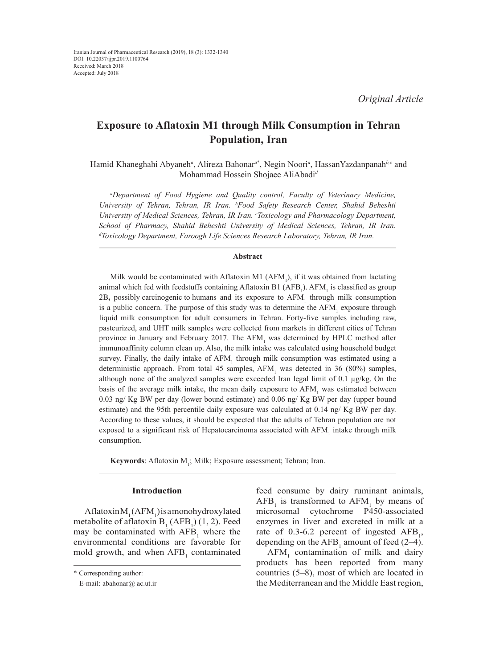# **Exposure to Aflatoxin M1 through Milk Consumption in Tehran Population, Iran**

Hamid Khaneghahi Abyaneh*<sup>a</sup>* , Alireza Bahonar*<sup>a</sup>*\* , Negin Noori*<sup>a</sup>* , HassanYazdanpanah*b,c* and Mohammad Hossein Shojaee AliAbadi*<sup>d</sup>*

*a Department of Food Hygiene and Quality control, Faculty of Veterinary Medicine, University of Tehran, Tehran, IR Iran. b Food Safety Research Center, Shahid Beheshti*  University of Medical Sciences, Tehran, IR Iran. <sup>c</sup>Toxicology and Pharmacology Department, School of Pharmacy, Shahid Beheshti University of Medical Sciences, Tehran, IR Iran. *d Toxicology Department, Faroogh Life Sciences Research Laboratory, Tehran, IR Iran.*

# **Abstract**

Milk would be contaminated with Aflatoxin M1  $(AFM<sub>1</sub>)$ , if it was obtained from lactating animal which fed with feedstuffs containing Aflatoxin B1 (AFB<sub>1</sub>). AFM<sub>1</sub> is classified as group 2B, possibly carcinogenic to humans and its exposure to AFM<sub>1</sub> through milk consumption is a public concern. The purpose of this study was to determine the  $AFM<sub>1</sub>$  exposure through liquid milk consumption for adult consumers in Tehran. Forty-five samples including raw, pasteurized, and UHT milk samples were collected from markets in different cities of Tehran province in January and February 2017. The  $AFM<sub>1</sub>$  was determined by HPLC method after immunoaffinity column clean up. Also, the milk intake was calculated using household budget survey. Finally, the daily intake of  $AFM<sub>1</sub>$  through milk consumption was estimated using a deterministic approach. From total 45 samples,  $AFM<sub>1</sub>$  was detected in 36 (80%) samples, although none of the analyzed samples were exceeded Iran legal limit of 0.1 µg/kg. On the basis of the average milk intake, the mean daily exposure to  $AFM$ <sub>1</sub> was estimated between 0.03 ng/ Kg BW per day (lower bound estimate) and 0.06 ng/ Kg BW per day (upper bound estimate) and the 95th percentile daily exposure was calculated at 0.14 ng/ Kg BW per day. According to these values, it should be expected that the adults of Tehran population are not exposed to a significant risk of Hepatocarcinoma associated with  $AFM$ <sub>1</sub> intake through milk consumption.

**Keywords**: Aflatoxin M<sub>1</sub>; Milk; Exposure assessment; Tehran; Iran.

# **Introduction**

Aflatoxin $M_1(AFM_1)$  is a monohydroxylated metabolite of aflatoxin  $B_1(AFB_1)(1, 2)$ . Feed may be contaminated with  $AFB<sub>1</sub>$  where the environmental conditions are favorable for mold growth, and when  $AFB<sub>1</sub>$  contaminated feed consume by dairy ruminant animals,  $AFB<sub>1</sub>$  is transformed to  $AFM<sub>1</sub>$  by means of microsomal cytochrome P450-associated enzymes in liver and excreted in milk at a rate of 0.3-6.2 percent of ingested  $AFB_1$ , depending on the  $AFB_1$  amount of feed (2–4).

 $AFM<sub>1</sub>$  contamination of milk and dairy products has been reported from many countries (5–8), most of which are located in the Mediterranean and the Middle East region,

<sup>\*</sup> Corresponding author:

E-mail: abahonar@ ac.ut.ir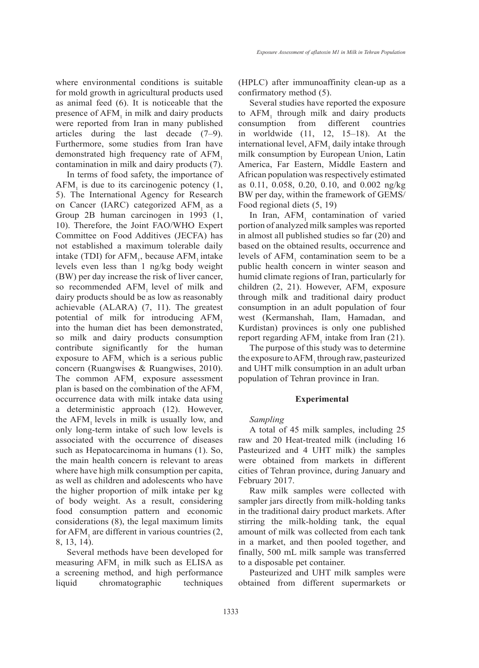where environmental conditions is suitable for mold growth in agricultural products used as animal feed (6). It is noticeable that the presence of  $AFM<sub>1</sub>$  in milk and dairy products were reported from Iran in many published articles during the last decade (7–9). Furthermore, some studies from Iran have demonstrated high frequency rate of  $AFM<sub>1</sub>$ contamination in milk and dairy products (7).

In terms of food safety, the importance of  $AFM<sub>1</sub>$  is due to its carcinogenic potency (1, 5). The International Agency for Research on Cancer (IARC) categorized AFM as a Group 2B human carcinogen in 1993 (1, 10). Therefore, the Joint FAO/WHO Expert Committee on Food Additives (JECFA) has not established a maximum tolerable daily intake (TDI) for  $AFM_1$ , because  $AFM_1$  intake levels even less than 1 ng/kg body weight (BW) per day increase the risk of liver cancer, so recommended  $AFM<sub>1</sub>$  level of milk and dairy products should be as low as reasonably achievable (ALARA) (7, 11). The greatest potential of milk for introducing AFM, into the human diet has been demonstrated, so milk and dairy products consumption contribute significantly for the human exposure to  $AFM<sub>1</sub>$  which is a serious public concern (Ruangwises & Ruangwises, 2010). The common  $AFM<sub>1</sub>$  exposure assessment plan is based on the combination of the AFM. occurrence data with milk intake data using a deterministic approach (12). However, the  $AFM$ <sub>1</sub> levels in milk is usually low, and only long-term intake of such low levels is associated with the occurrence of diseases such as Hepatocarcinoma in humans (1). So, the main health concern is relevant to areas where have high milk consumption per capita, as well as children and adolescents who have the higher proportion of milk intake per kg of body weight. As a result, considering food consumption pattern and economic considerations (8), the legal maximum limits for  $AFM<sub>1</sub>$  are different in various countries (2, 8, 13, 14).

Several methods have been developed for measuring  $AFM<sub>1</sub>$  in milk such as ELISA as a screening method, and high performance liquid chromatographic techniques

(HPLC) after immunoaffinity clean-up as a confirmatory method (5).

Several studies have reported the exposure to  $AFM<sub>1</sub>$  through milk and dairy products consumption from different countries in worldwide (11, 12, 15–18). At the international level, AFM<sub>1</sub> daily intake through milk consumption by European Union, Latin America, Far Eastern, Middle Eastern and African population was respectively estimated as 0.11, 0.058, 0.20, 0.10, and 0.002 ng/kg BW per day, within the framework of GEMS/ Food regional diets (5, 19)

In Iran,  $AFM<sub>1</sub>$  contamination of varied portion of analyzed milk samples was reported in almost all published studies so far (20) and based on the obtained results, occurrence and levels of  $AFM<sub>1</sub>$  contamination seem to be a public health concern in winter season and humid climate regions of Iran, particularly for children  $(2, 21)$ . However, AFM<sub>1</sub> exposure through milk and traditional dairy product consumption in an adult population of four west (Kermanshah, Ilam, Hamadan, and Kurdistan) provinces is only one published report regarding  $AFM<sub>1</sub>$  intake from Iran (21).

The purpose of this study was to determine the exposure to  $AFM_1$  through raw, pasteurized and UHT milk consumption in an adult urban population of Tehran province in Iran.

# **Experimental**

#### *Sampling*

A total of 45 milk samples, including 25 raw and 20 Heat-treated milk (including 16 Pasteurized and 4 UHT milk) the samples were obtained from markets in different cities of Tehran province, during January and February 2017.

Raw milk samples were collected with sampler jars directly from milk-holding tanks in the traditional dairy product markets. After stirring the milk-holding tank, the equal amount of milk was collected from each tank in a market, and then pooled together, and finally, 500 mL milk sample was transferred to a disposable pet container.

Pasteurized and UHT milk samples were obtained from different supermarkets or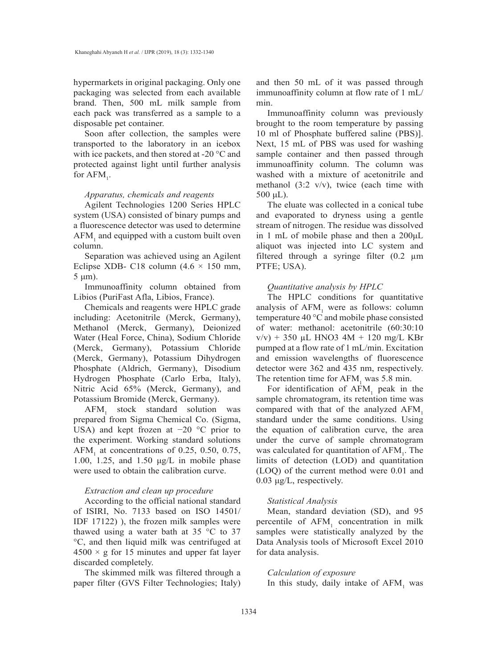hypermarkets in original packaging. Only one packaging was selected from each available brand. Then, 500 mL milk sample from each pack was transferred as a sample to a disposable pet container.

Soon after collection, the samples were transported to the laboratory in an icebox with ice packets, and then stored at -20 °C and protected against light until further analysis for  $AFM_{1}$ .

#### *Apparatus, chemicals and reagents*

Agilent Technologies 1200 Series HPLC system (USA) consisted of binary pumps and a fluorescence detector was used to determine  $AFM<sub>1</sub>$  and equipped with a custom built oven column.

Separation was achieved using an Agilent Eclipse XDB- C18 column  $(4.6 \times 150 \text{ mm})$ , 5 μm).

Immunoaffinity column obtained from Libios (PuriFast Afla, Libios, France).

Chemicals and reagents were HPLC grade including: Acetonitrile (Merck, Germany), Methanol (Merck, Germany), Deionized Water (Heal Force, China), Sodium Chloride (Merck, Germany), Potassium Chloride (Merck, Germany), Potassium Dihydrogen Phosphate (Aldrich, Germany), Disodium Hydrogen Phosphate (Carlo Erba, Italy), Nitric Acid 65% (Merck, Germany), and Potassium Bromide (Merck, Germany).

 $AFM<sub>1</sub>$  stock standard solution was prepared from Sigma Chemical Co. (Sigma, USA) and kept frozen at  $-20$  °C prior to the experiment. Working standard solutions  $AFM<sub>1</sub>$  at concentrations of 0.25, 0.50, 0.75, 1.00, 1.25, and 1.50 μg/L in mobile phase were used to obtain the calibration curve.

# *Extraction and clean up procedure*

According to the official national standard of ISIRI, No. 7133 based on ISO 14501/ IDF  $17122$ ), the frozen milk samples were thawed using a water bath at 35  $\degree$ C to 37 °C, and then liquid milk was centrifuged at  $4500 \times g$  for 15 minutes and upper fat layer discarded completely.

The skimmed milk was filtered through a paper filter (GVS Filter Technologies; Italy) and then 50 mL of it was passed through immunoaffinity column at flow rate of 1 mL/ min.

Immunoaffinity column was previously brought to the room temperature by passing 10 ml of Phosphate buffered saline (PBS)]. Next, 15 mL of PBS was used for washing sample container and then passed through immunoaffinity column. The column was washed with a mixture of acetonitrile and methanol  $(3:2 \text{ v/v})$ , twice (each time with  $500 \mu L$ ).

The eluate was collected in a conical tube and evaporated to dryness using a gentle stream of nitrogen. The residue was dissolved in 1 mL of mobile phase and then a 200μL aliquot was injected into LC system and filtered through a syringe filter (0.2 µm PTFE; USA).

# *Quantitative analysis by HPLC*

The HPLC conditions for quantitative analysis of  $AFM<sub>1</sub>$  were as follows: column temperature 40 °C and mobile phase consisted of water: methanol: acetonitrile (60:30:10  $v/v$ ) + 350 µL HNO3 4M + 120 mg/L KBr pumped at a flow rate of 1 mL/min. Excitation and emission wavelengths of fluorescence detector were 362 and 435 nm, respectively. The retention time for  $AFM<sub>1</sub>$  was 5.8 min.

For identification of  $AFM<sub>1</sub>$  peak in the sample chromatogram, its retention time was compared with that of the analyzed AFM<sub>1</sub> standard under the same conditions. Using the equation of calibration curve, the area under the curve of sample chromatogram was calculated for quantitation of  $AFM<sub>1</sub>$ . The limits of detection (LOD) and quantitation (LOQ) of the current method were 0.01 and 0.03 μg/L, respectively.

# *Statistical Analysis*

Mean, standard deviation (SD), and 95 percentile of  $AFM<sub>1</sub>$  concentration in milk samples were statistically analyzed by the Data Analysis tools of Microsoft Excel 2010 for data analysis.

# *Calculation of exposure*

In this study, daily intake of  $AFM<sub>1</sub>$  was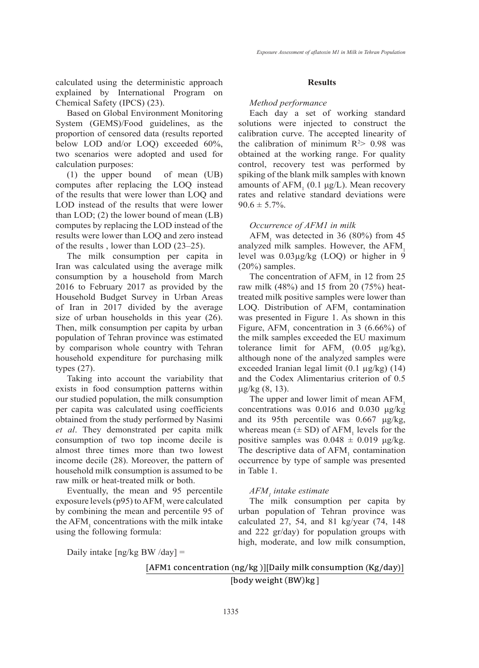calculated using the deterministic approach explained by International Program on Chemical Safety (IPCS) (23).

Based on Global Environment Monitoring System (GEMS)/Food guidelines, as the proportion of censored data (results reported below LOD and/or LOQ) exceeded 60%, two scenarios were adopted and used for calculation purposes:

(1) the upper bound of mean (UB) computes after replacing the LOQ instead of the results that were lower than LOQ and LOD instead of the results that were lower than LOD; (2) the lower bound of mean (LB) computes by replacing the LOD instead of the results were lower than LOQ and zero instead of the results , lower than LOD (23–25).

The milk consumption per capita in Iran was calculated using the average milk consumption by a household from March 2016 to February 2017 as provided by the Household Budget Survey in Urban Areas of Iran in 2017 divided by the average size of urban households in this year (26). Then, milk consumption per capita by urban population of Tehran province was estimated by comparison whole country with Tehran household expenditure for purchasing milk types (27).

Taking into account the variability that exists in food consumption patterns within our studied population, the milk consumption per capita was calculated using coefficients obtained from the study performed by Nasimi *et al*. They demonstrated per capita milk consumption of two top income decile is almost three times more than two lowest income decile (28). Moreover, the pattern of household milk consumption is assumed to be raw milk or heat-treated milk or both.

Eventually, the mean and 95 percentile exposure levels (p95) to  $AFM$ <sub>1</sub> were calculated by combining the mean and percentile 95 of the  $AFM<sub>1</sub>$  concentrations with the milk intake using the following formula:

#### **Results**

#### *Method performance*

Each day a set of working standard solutions were injected to construct the calibration curve. The accepted linearity of the calibration of minimum  $R^2$  0.98 was obtained at the working range. For quality control, recovery test was performed by spiking of the blank milk samples with known amounts of  $AFM<sub>1</sub>$  (0.1  $\mu$ g/L). Mean recovery rates and relative standard deviations were  $90.6 \pm 5.7\%$ .

#### *Occurrence of AFM1 in milk*

 $AFM<sub>1</sub>$  was detected in 36 (80%) from 45 analyzed milk samples. However, the AFM, level was 0.03µg/kg (LOQ) or higher in 9 (20%) samples.

The concentration of  $AFM<sub>1</sub>$  in 12 from 25 raw milk (48%) and 15 from 20 (75%) heattreated milk positive samples were lower than LOQ. Distribution of  $AFM<sub>1</sub>$  contamination was presented in Figure 1. As shown in this Figure,  $AFM<sub>1</sub>$  concentration in 3 (6.66%) of the milk samples exceeded the EU maximum tolerance limit for  $AFM_1$  (0.05  $\mu$ g/kg), although none of the analyzed samples were exceeded Iranian legal limit (0.1 µg/kg) (14) and the Codex Alimentarius criterion of 0.5 μg/kg  $(8, 13)$ .

The upper and lower limit of mean  $AFM<sub>1</sub>$ concentrations was 0.016 and 0.030 μg/kg and its 95th percentile was 0.667 μg/kg, whereas mean  $(\pm SD)$  of AFM<sub>1</sub> levels for the positive samples was  $0.048 \pm 0.019$  μg/kg. The descriptive data of  $AFM<sub>1</sub>$  contamination occurrence by type of sample was presented in Table 1.

# *AFM1 intake estimate*

The milk consumption per capita by urban population of Tehran province was calculated 27, 54, and 81 kg/year (74, 148 and 222 gr/day) for population groups with high, moderate, and low milk consumption,

Daily intake  $\lceil$ ng/kg BW /day $\rceil$  =

 $D_{\rm eff}$  into  $\mu$ 

[AFM1 concentration  $(ng/kg)$ ][Daily milk consumption  $(Kg/day)$ ] [body weight (BW)kg]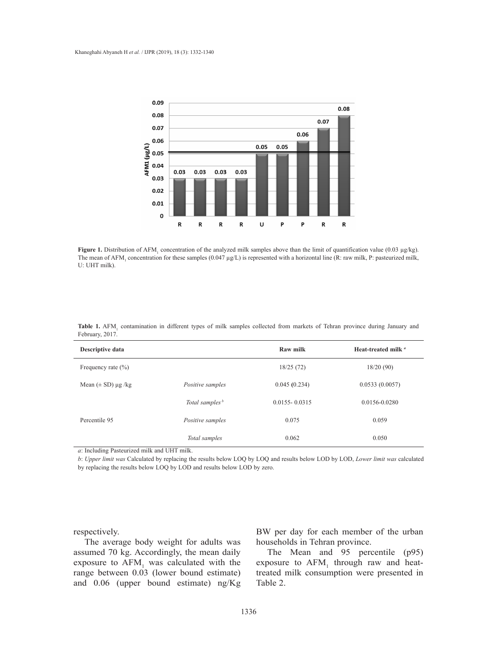

Figure 1. Distribution of AFM<sub>1</sub> concentration of the analyzed milk samples above than the limit of quantification value (0.03 µg/kg). of  $\alpha$  is the meaning (0.047  $\mu$ g/kg) is represented with a horizontal line (R; raw milk, P; pasteurized milk. The mean of AFM<sub>1</sub> concentration for these samples (0.047 μg/L) is represented with a horizontal line (R: raw milk, P: pasteurized milk, U: UHT milk). U: UHT milk).

| Descriptive data                            |                            | Raw milk          | Heat-treated milk " |
|---------------------------------------------|----------------------------|-------------------|---------------------|
| Frequency rate $(\% )$                      |                            | 18/25(72)         | 18/20(90)           |
| Mean $(\pm SD)$ µg /kg                      | Positive samples           | 0.045(0.234)      | 0.0533(0.0057)      |
|                                             | Total samples <sup>b</sup> | $0.0155 - 0.0315$ | 0.0156-0.0280       |
| Percentile 95                               | Positive samples           | 0.075             | 0.059               |
|                                             | Total samples              | 0.062             | 0.050               |
| a: Including Pasteurized milk and UHT milk. |                            |                   |                     |

levels for the positive samples was 0.048 ± 0.019 μg/kg. The descriptive data of **Table 1.** AFM<sub>1</sub> contamination in different types of milk samples collected from markets of Tehran province during January and February, 2017.

*Total samples* 0.062 0.050 *b*: *Upper limit was* Calculated by replacing the results below LOQ by LOQ and results below LOD by LOD, *Lower limit was* calculated **but the UHT milk and UHT milk and UHT Milk and UHT Milk and UHT Milk and UHT Milk and UHT MILK AND A** by replacing the results below LOQ by LOD and results below LOD by zero.

respectively.

The average body weight for adults was assumed 70 kg. Accordingly, the mean daily exposure to  $AFM<sub>1</sub>$  was calculated with the range between 0.03 (lower bound estimate) and 0.06 (upper bound estimate) ng/Kg

BW per day for each member of the urban households in Tehran province.

The Mean and 95 percentile (p95) exposure to  $AFM$ <sub>1</sub> through raw and heattreated milk consumption were presented in Table 2.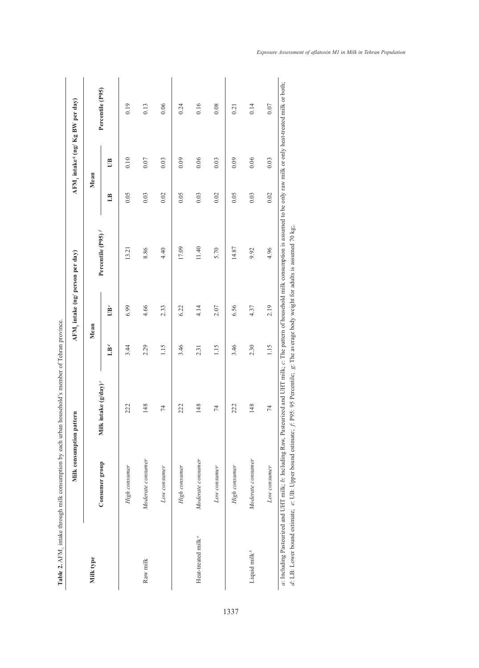|                                |                                                             | Milk consumption pattern                                                                                                                                                                          |                 | AFM, intake (ng/ person per day) |                                                                                |              |        | AFM, intake <sup>s</sup> (ng/ Kg BW per day) |
|--------------------------------|-------------------------------------------------------------|---------------------------------------------------------------------------------------------------------------------------------------------------------------------------------------------------|-----------------|----------------------------------|--------------------------------------------------------------------------------|--------------|--------|----------------------------------------------|
| Milk type                      |                                                             |                                                                                                                                                                                                   | Mean            |                                  |                                                                                |              | Mean   |                                              |
|                                | Consumer group                                              | Milk intake (g/day) <sup>c</sup>                                                                                                                                                                  | LB <sup>d</sup> | UB <sup>e</sup>                  | Percentile (P95) <sup>/</sup>                                                  | $\mathbb{H}$ | UB     | Percentile (P95)                             |
|                                | High consumer                                               | 222                                                                                                                                                                                               | 3.44            | 6.99                             | 13.21                                                                          | 0.05         | 0.10   | 0.19                                         |
| Raw milk                       | Moderate consumer                                           | 148                                                                                                                                                                                               | 2.29            | 4.66                             | 8.86                                                                           | 0.03         | $0.07$ | 0.13                                         |
|                                | Low consumer                                                | 74                                                                                                                                                                                                | 1.15            | 2.33                             | 4.40                                                                           | 0.02         | 0.03   | 0.06                                         |
|                                | High consumer                                               | 222                                                                                                                                                                                               | 3.46            | 6.22                             | 17.09                                                                          | 0.05         | 0.09   | 0.24                                         |
| Heat-treated milk <sup>a</sup> | Moderate consumer                                           | 148                                                                                                                                                                                               | 2.31            | 4.14                             | 11.40                                                                          | 0.03         | 0.06   | 0.16                                         |
|                                | Low consumer                                                | $\overline{7}$                                                                                                                                                                                    | 1.15            | 2.07                             | 5.70                                                                           | 0.02         | 0.03   | 0.08                                         |
|                                | High consumer                                               | 222                                                                                                                                                                                               | 3.46            | 6.56                             | 14.87                                                                          | 0.05         | 0.09   | 0.21                                         |
| Liquid milk <sup>b</sup>       | Moderate consumer                                           | 148                                                                                                                                                                                               | 2.30            | 4.37                             | 9.92                                                                           | 0.03         | 0.06   | 0.14                                         |
|                                | Low consumer                                                | 74                                                                                                                                                                                                | 1.15            | 2.19                             | 4.96                                                                           | 0.02         | 0.03   | 0.07                                         |
|                                | d: LB: Lower bound estimate; e: UB: Upper bound estimate; j | a: Including Pasteurized and UHT milk; b: Including Raw, Pasteurized and UHT milk; c: The pattern of household milk consumption is assumed to be only raw milk or only heat-treated milk or both; |                 |                                  | : P95: 95 Percentile; g: The average body weight for adults is assumed 70 kg;. |              |        |                                              |

Table 2. AFM, intake through milk consumption by each urban household's member of Tehran province. **Table 2.** AFM<sub>1</sub> intake through milk consumption by each urban household's member of Tehran province.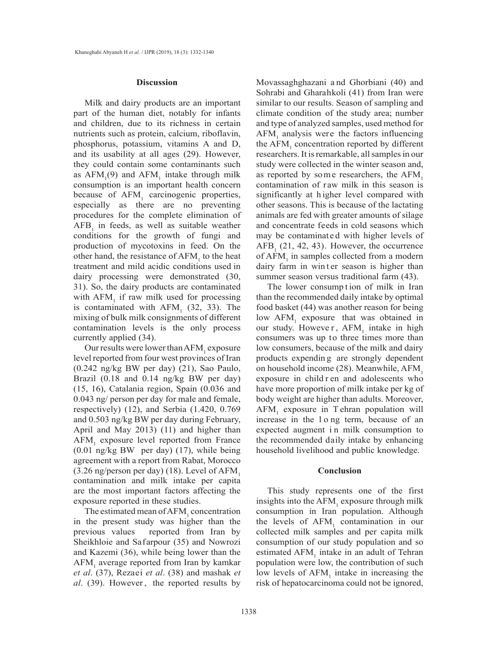#### **Discussion**

Milk and dairy products are an important part of the human diet, notably for infants and children, due to its richness in certain nutrients such as protein, calcium, riboflavin, phosphorus, potassium, vitamins A and D, and its usability at all ages (29). However, they could contain some contaminants such as  $AFM_1(9)$  and  $AFM_1$  intake through milk consumption is an important health concern because of  $AFM<sub>1</sub>$  carcinogenic properties, especially as there are no preventing procedures for the complete elimination of  $AFB<sub>1</sub>$  in feeds, as well as suitable weather conditions for the growth of fungi and production of mycotoxins in feed. On the other hand, the resistance of  $AFM<sub>1</sub>$  to the heat treatment and mild acidic conditions used in dairy processing were demonstrated (30, 31). So, the dairy products are contaminated with  $AFM<sub>1</sub>$  if raw milk used for processing is contaminated with  $AFM<sub>1</sub>$  (32, 33). The mixing of bulk milk consignments of different contamination levels is the only process currently applied (34).

Our results were lower than  $AFM_1$  exposure level reported from four west provinces of Iran (0.242 ng/kg BW per day) (21), Sao Paulo, Brazil (0.18 and 0.14 ng/kg BW per day) (15, 16), Catalania region, Spain (0.036 and 0.043 ng/ person per day for male and female, respectively) (12), and Serbia (1.420, 0.769 and 0.503 ng/kg BW per day during February, April and May 2013) (11) and higher than AFM<sub>1</sub> exposure level reported from France (0.01 ng/kg BW per day) (17), while being agreement with a report from Rabat, Morocco  $(3.26 \text{ ng/person per day})$  (18). Level of AFM<sub>1</sub> contamination and milk intake per capita are the most important factors affecting the exposure reported in these studies.

The estimated mean of  $AFM<sub>1</sub>$  concentration in the present study was higher than the previous values reported from Iran by Sheikhloie and Safarpour (35) and Nowrozi and Kazemi (36), while being lower than the AFM<sub>1</sub> average reported from Iran by kamkar *et al*. (37), Rezaei *et al*. (38) and mashak *et al*. (39). However , the reported results by

Movassaghghazani a nd Ghorbiani (40) and Sohrabi and Gharahkoli (41) from Iran were similar to our results. Season of sampling and climate condition of the study area; number and type of analyzed samples, used method for  $AFM<sub>1</sub>$  analysis were the factors influencing the  $AFM<sub>1</sub>$  concentration reported by different researchers. It is remarkable, all samples in our study were collected in the winter season and, as reported by some researchers, the  $AFM<sub>1</sub>$ contamination of raw milk in this season is significantly at h igher level compared with other seasons. This is because of the lactating animals are fed with greater amounts of silage and concentrate feeds in cold seasons which may be contaminated with higher levels of  $AFB<sub>1</sub>$  (21, 42, 43). However, the occurrence of  $AFM<sub>1</sub>$  in samples collected from a modern dairy farm in winter season is higher than summer season versus traditional farm (43).

The lower consumption of milk in Iran than the recommended daily intake by optimal food basket (44) was another reason for being low  $AFM<sub>1</sub>$  exposure that was obtained in our study. However,  $AFM<sub>1</sub>$  intake in high consumers was up to three times more than low consumers, because of the milk and dairy products expendin g are strongly dependent on household income (28). Meanwhile, AFM<sub>1</sub> exposure in child r en and adolescents who have more proportion of milk intake per kg of body weight are higher than adults. Moreover,  $AFM<sub>1</sub>$  exposure in Tehran population will increase in the l o ng term, because of an expected augment in milk consumption to the recommended daily intake by enhancing household livelihood and public knowledge.

#### **Conclusion**

This study represents one of the first insights into the  $AFM<sub>1</sub>$  exposure through milk consumption in Iran population. Although the levels of  $AFM<sub>1</sub>$  contamination in our collected milk samples and per capita milk consumption of our study population and so estimated  $AFM<sub>1</sub>$  intake in an adult of Tehran population were low, the contribution of such low levels of  $AFM<sub>1</sub>$  intake in increasing the risk of hepatocarcinoma could not be ignored,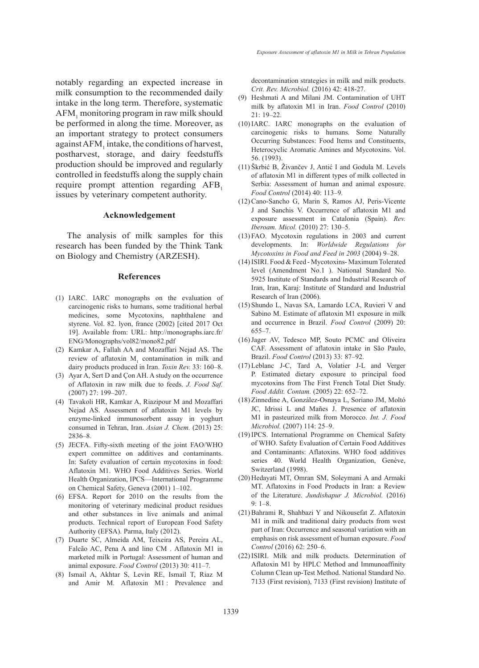notably regarding an expected increase in milk consumption to the recommended daily intake in the long term. Therefore, systematic  $\mathrm{AFM}_{1}$  monitoring program in raw milk should be performed in along the time. Moreover, as an important strategy to protect consumers against  $AFM_1$  intake, the conditions of harvest, postharvest, storage, and dairy feedstuffs production should be improved and regularly controlled in feedstuffs along the supply chain require prompt attention regarding AFB, issues by veterinary competent authority.

#### **Acknowledgement**

The analysis of milk samples for this research has been funded by the Think Tank on Biology and Chemistry (ARZESH).

#### **References**

- (1) IARC. IARC monographs on the evaluation of carcinogenic risks to humans, some traditional herbal medicines, some Mycotoxins, naphthalene and styrene. Vol. 82. lyon, france (2002) [cited 2017 Oct 19]. Available from: URL: http://monographs.iarc.fr/ ENG/Monographs/vol82/mono82.pdf
- (2) Kamkar A, Fallah AA and Mozaffari Nejad AS. The review of aflatoxin  $M<sub>1</sub>$  contamination in milk and dairy products produced in Iran. *Toxin Rev.* 33: 160–8.
- Ayar A, Sert D and Çon AH. A study on the occurrence (3) of Aflatoxin in raw milk due to feeds. *J. Food Saf.* (2007) 27: 199–207.
- Tavakoli HR, Kamkar A, Riazipour M and Mozaffari (4) Nejad AS. Assessment of aflatoxin M1 levels by enzyme-linked immunosorbent assay in yoghurt consumed in Tehran, Iran. *Asian J. Chem.* (2013) 25: 2836–8.
- $(5)$  JECFA. Fifty-sixth meeting of the joint FAO/WHO expert committee on additives and contaminants. In: Safety evaluation of certain mycotoxins in food: Aflatoxin M1. WHO Food Additives Series. World Health Organization, IPCS—International Programme on Chemical Safety, Geneva (2001) 1–102.
- EFSA. Report for 2010 on the results from the (6) monitoring of veterinary medicinal product residues and other substances in live animals and animal products. Technical report of European Food Safety Authority (EFSA). Parma, Italy (2012).
- (7) Duarte SC, Almeida AM, Teixeira AS, Pereira AL, Falcão AC, Pena A and lino CM . Aflatoxin M1 in marketed milk in Portugal: Assessment of human and animal exposure. *Food Control* (2013) 30: 411–7.
- Ismail A, Akhtar S, Levin RE, Ismail T, Riaz M (8) and Amir M. Aflatoxin M1 : Prevalence and

decontamination strategies in milk and milk products. *Crit. Rev. Microbiol.* (2016) 42: 418-27.

- (9) Heshmati A and Milani JM. Contamination of UHT milk by aflatoxin M1 in Iran. *Food Control* (2010) 21: 19–22.
- $(10)$  IARC. IARC monographs on the evaluation of carcinogenic risks to humans. Some Naturally Occurring Substances: Food Items and Constituents, Heterocyclic Aromatic Amines and Mycotoxins. Vol. 56. (1993).
- (11) Škrbić B, Živančev J, Antić I and Godula M. Levels of aflatoxin M1 in different types of milk collected in Serbia: Assessment of human and animal exposure. *Food Control* (2014) 40: 113–9.
- (12) Cano-Sancho G, Marin S, Ramos AJ, Peris-Vicente J and Sanchis V. Occurrence of aflatoxin M1 and exposure assessment in Catalonia (Spain). *Rev. Iberoam. Micol.* (2010) 27: 130–5.
- FAO. Mycotoxin regulations in 2003 and current (13) developments. In: *Worldwide Regulations for Mycotoxins in Food and Feed in 2003* (2004) 9–28.
- (14) ISIRI. Food & Feed Mycotoxins- Maximum Tolerated level (Amendment No.1 ). National Standard No. 5925 Institute of Standards and Industrial Research of Iran, Iran, Karaj: Institute of Standard and Industrial Research of Iran (2006).
- (15) Shundo L, Navas SA, Lamardo LCA, Ruvieri V and Sabino M. Estimate of aflatoxin M1 exposure in milk and occurrence in Brazil. *Food Control* (2009) 20: 655–7.
- (16) Jager AV, Tedesco MP, Souto PCMC and Oliveira CAF. Assessment of aflatoxin intake in São Paulo, Brazil. *Food Control* (2013) 33: 87–92.
- Leblanc J-C, Tard A, Volatier J-L and Verger (17) P. Estimated dietary exposure to principal food mycotoxins from The First French Total Diet Study. *Food Addit. Contam.* (2005) 22: 652–72.
- (18) Zinnedine A, González-Osnaya L, Soriano JM, Moltó JC, Idrissi L and Mañes J. Presence of aflatoxin M1 in pasteurized milk from Morocco. *Int. J. Food Microbiol.* (2007) 114: 25–9.
- (19) IPCS. International Programme on Chemical Safety of WHO. Safety Evaluation of Certain Food Additives and Contaminants: Aflatoxins. WHO food additives series 40. World Health Organization, Genève, Switzerland (1998).
- (20) Hedayati MT, Omran SM, Soleymani A and Armaki MT. Aflatoxins in Food Products in Iran: a Review of the Literature. *Jundishapur J. Microbiol.* (2016) 9: 1–8.
- (21) Bahrami R, Shahbazi Y and Nikousefat Z. Aflatoxin M1 in milk and traditional dairy products from west part of Iran: Occurrence and seasonal variation with an emphasis on risk assessment of human exposure. *Food Control* (2016) 62: 250–6.
- (22) ISIRI. Milk and milk products. Determination of Aflatoxin M1 by HPLC Method and Immunoaffinity Column Clean up-Test Method. National Standard No. 7133 (First revision), 7133 (First revision) Institute of